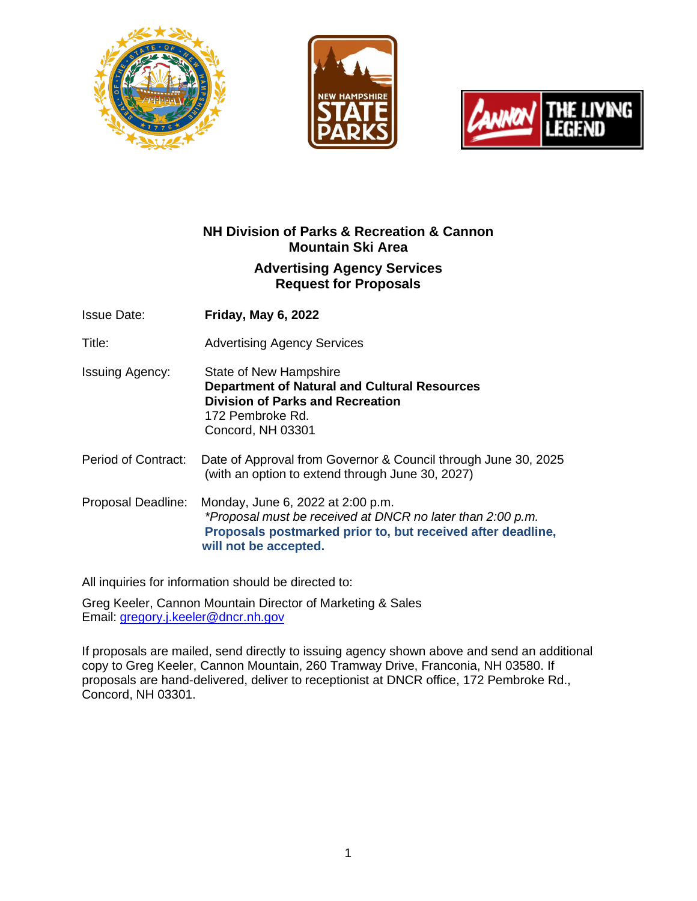





# **NH Division of Parks & Recreation & Cannon Mountain Ski Area**

## **Advertising Agency Services Request for Proposals**

Issue Date: **Friday, May 6, 2022**

Title: Advertising Agency Services

- Issuing Agency: State of New Hampshire **Department of Natural and Cultural Resources Division of Parks and Recreation** 172 Pembroke Rd. Concord, NH 03301
- Period of Contract: Date of Approval from Governor & Council through June 30, 2025 (with an option to extend through June 30, 2027)
- Proposal Deadline: Monday, June 6, 2022 at 2:00 p.m. *\*Proposal must be received at DNCR no later than 2:00 p.m.* **Proposals postmarked prior to, but received after deadline, will not be accepted.**

All inquiries for information should be directed to:

Greg Keeler, Cannon Mountain Director of Marketing & Sales Email: [gregory.j.keeler@dncr.nh.gov](mailto:gregory.j.keeler@dncr.nh.gov)

If proposals are mailed, send directly to issuing agency shown above and send an additional copy to Greg Keeler, Cannon Mountain, 260 Tramway Drive, Franconia, NH 03580. If proposals are hand-delivered, deliver to receptionist at DNCR office, 172 Pembroke Rd., Concord, NH 03301.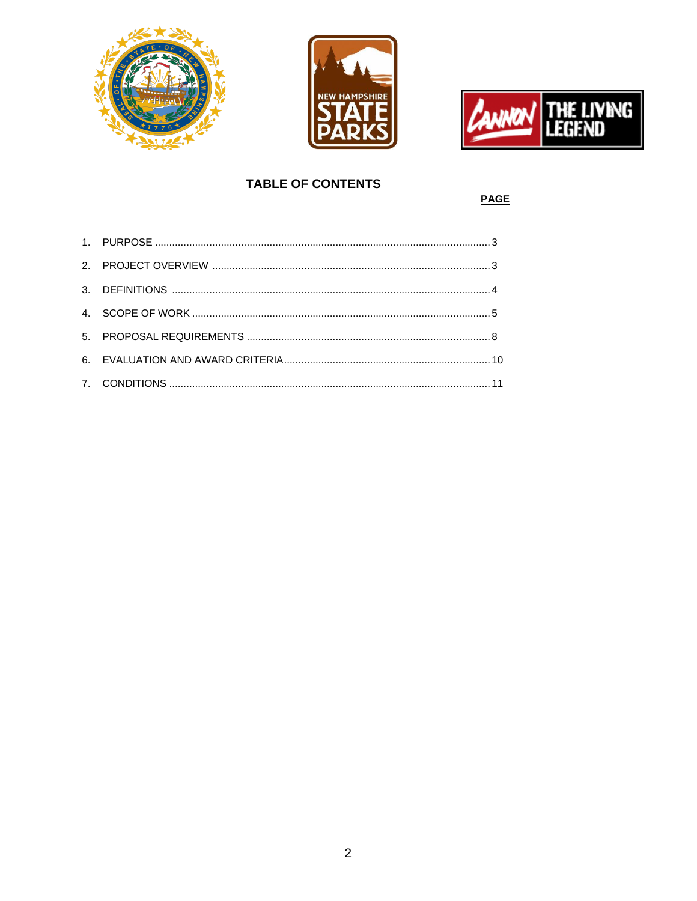





# **TABLE OF CONTENTS**

**PAGE**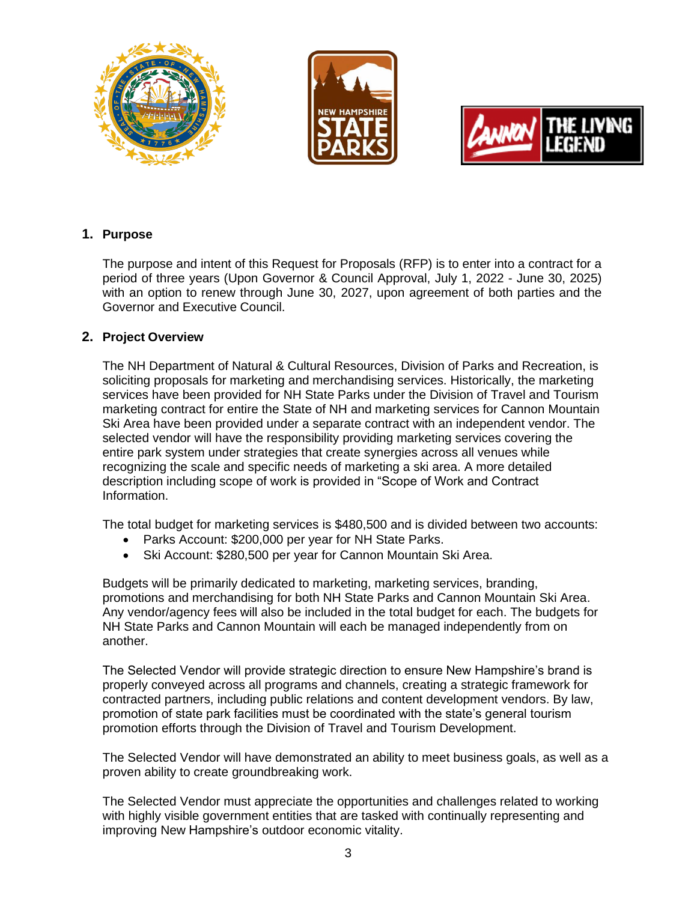





## **1. Purpose**

The purpose and intent of this Request for Proposals (RFP) is to enter into a contract for a period of three years (Upon Governor & Council Approval, July 1, 2022 - June 30, 2025) with an option to renew through June 30, 2027, upon agreement of both parties and the Governor and Executive Council.

## **2. Project Overview**

The NH Department of Natural & Cultural Resources, Division of Parks and Recreation, is soliciting proposals for marketing and merchandising services. Historically, the marketing services have been provided for NH State Parks under the Division of Travel and Tourism marketing contract for entire the State of NH and marketing services for Cannon Mountain Ski Area have been provided under a separate contract with an independent vendor. The selected vendor will have the responsibility providing marketing services covering the entire park system under strategies that create synergies across all venues while recognizing the scale and specific needs of marketing a ski area. A more detailed description including scope of work is provided in "Scope of Work and Contract Information.

The total budget for marketing services is \$480,500 and is divided between two accounts:

- Parks Account: \$200,000 per year for NH State Parks.
- Ski Account: \$280,500 per year for Cannon Mountain Ski Area.

Budgets will be primarily dedicated to marketing, marketing services, branding, promotions and merchandising for both NH State Parks and Cannon Mountain Ski Area. Any vendor/agency fees will also be included in the total budget for each. The budgets for NH State Parks and Cannon Mountain will each be managed independently from on another.

The Selected Vendor will provide strategic direction to ensure New Hampshire's brand is properly conveyed across all programs and channels, creating a strategic framework for contracted partners, including public relations and content development vendors. By law, promotion of state park facilities must be coordinated with the state's general tourism promotion efforts through the Division of Travel and Tourism Development.

The Selected Vendor will have demonstrated an ability to meet business goals, as well as a proven ability to create groundbreaking work.

The Selected Vendor must appreciate the opportunities and challenges related to working with highly visible government entities that are tasked with continually representing and improving New Hampshire's outdoor economic vitality.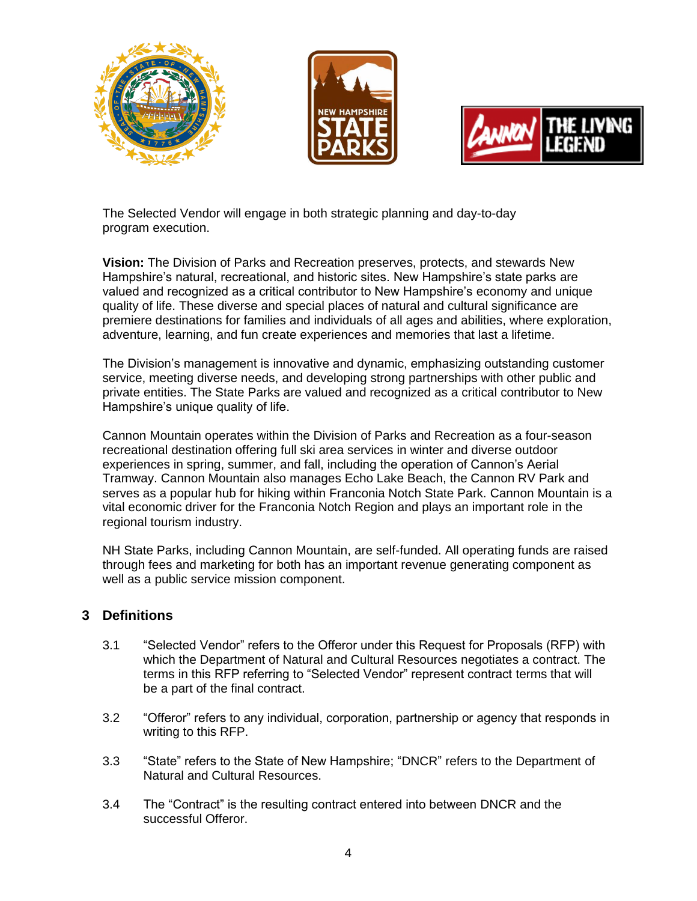





The Selected Vendor will engage in both strategic planning and day-to-day program execution.

**Vision:** The Division of Parks and Recreation preserves, protects, and stewards New Hampshire's natural, recreational, and historic sites. New Hampshire's state parks are valued and recognized as a critical contributor to New Hampshire's economy and unique quality of life. These diverse and special places of natural and cultural significance are premiere destinations for families and individuals of all ages and abilities, where exploration, adventure, learning, and fun create experiences and memories that last a lifetime.

The Division's management is innovative and dynamic, emphasizing outstanding customer service, meeting diverse needs, and developing strong partnerships with other public and private entities. The State Parks are valued and recognized as a critical contributor to New Hampshire's unique quality of life.

Cannon Mountain operates within the Division of Parks and Recreation as a four-season recreational destination offering full ski area services in winter and diverse outdoor experiences in spring, summer, and fall, including the operation of Cannon's Aerial Tramway. Cannon Mountain also manages Echo Lake Beach, the Cannon RV Park and serves as a popular hub for hiking within Franconia Notch State Park. Cannon Mountain is a vital economic driver for the Franconia Notch Region and plays an important role in the regional tourism industry.

NH State Parks, including Cannon Mountain, are self-funded. All operating funds are raised through fees and marketing for both has an important revenue generating component as well as a public service mission component.

# **3 Definitions**

- 3.1 "Selected Vendor" refers to the Offeror under this Request for Proposals (RFP) with which the Department of Natural and Cultural Resources negotiates a contract. The terms in this RFP referring to "Selected Vendor" represent contract terms that will be a part of the final contract.
- 3.2 "Offeror" refers to any individual, corporation, partnership or agency that responds in writing to this RFP.
- 3.3 "State" refers to the State of New Hampshire; "DNCR" refers to the Department of Natural and Cultural Resources.
- 3.4 The "Contract" is the resulting contract entered into between DNCR and the successful Offeror.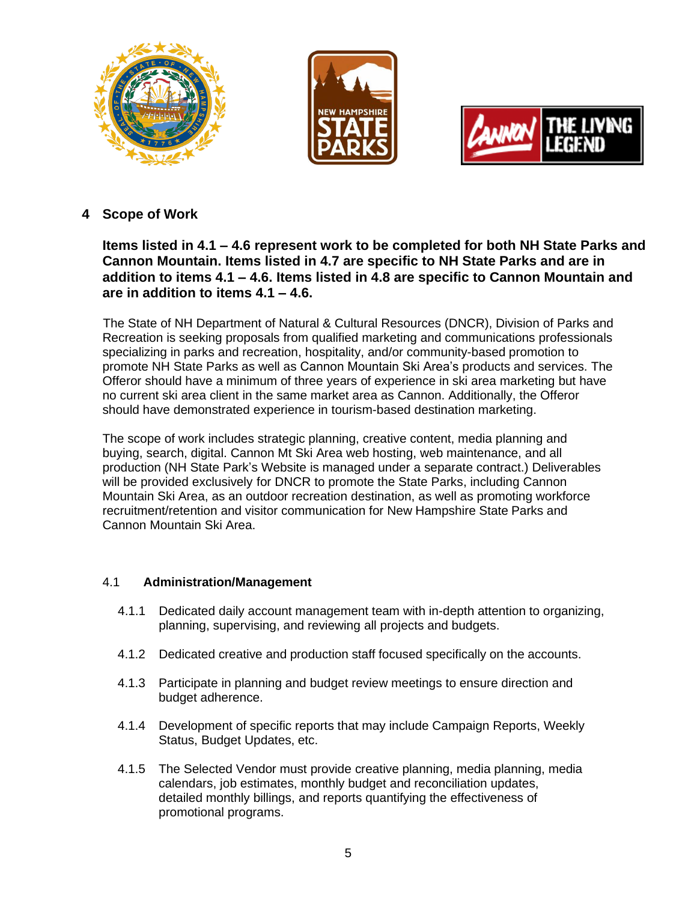





# **4 Scope of Work**

**Items listed in 4.1 – 4.6 represent work to be completed for both NH State Parks and Cannon Mountain. Items listed in 4.7 are specific to NH State Parks and are in addition to items 4.1 – 4.6. Items listed in 4.8 are specific to Cannon Mountain and are in addition to items 4.1 – 4.6.**

 The State of NH Department of Natural & Cultural Resources (DNCR), Division of Parks and Recreation is seeking proposals from qualified marketing and communications professionals specializing in parks and recreation, hospitality, and/or community-based promotion to promote NH State Parks as well as Cannon Mountain Ski Area's products and services. The Offeror should have a minimum of three years of experience in ski area marketing but have no current ski area client in the same market area as Cannon. Additionally, the Offeror should have demonstrated experience in tourism-based destination marketing.

The scope of work includes strategic planning, creative content, media planning and buying, search, digital. Cannon Mt Ski Area web hosting, web maintenance, and all production (NH State Park's Website is managed under a separate contract.) Deliverables will be provided exclusively for DNCR to promote the State Parks, including Cannon Mountain Ski Area, as an outdoor recreation destination, as well as promoting workforce recruitment/retention and visitor communication for New Hampshire State Parks and Cannon Mountain Ski Area.

## 4.1 **Administration/Management**

- 4.1.1 Dedicated daily account management team with in-depth attention to organizing, planning, supervising, and reviewing all projects and budgets.
- 4.1.2 Dedicated creative and production staff focused specifically on the accounts.
- 4.1.3 Participate in planning and budget review meetings to ensure direction and budget adherence.
- 4.1.4 Development of specific reports that may include Campaign Reports, Weekly Status, Budget Updates, etc.
- 4.1.5 The Selected Vendor must provide creative planning, media planning, media calendars, job estimates, monthly budget and reconciliation updates, detailed monthly billings, and reports quantifying the effectiveness of promotional programs.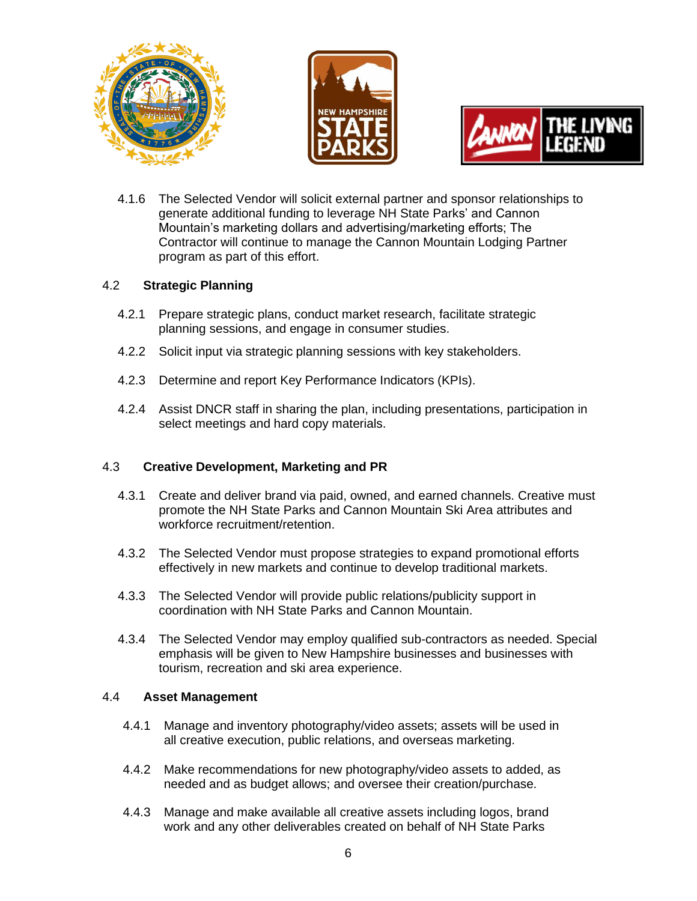





4.1.6 The Selected Vendor will solicit external partner and sponsor relationships to generate additional funding to leverage NH State Parks' and Cannon Mountain's marketing dollars and advertising/marketing efforts; The Contractor will continue to manage the Cannon Mountain Lodging Partner program as part of this effort.

## 4.2 **Strategic Planning**

- 4.2.1 Prepare strategic plans, conduct market research, facilitate strategic planning sessions, and engage in consumer studies.
- 4.2.2 Solicit input via strategic planning sessions with key stakeholders.
- 4.2.3 Determine and report Key Performance Indicators (KPIs).
- 4.2.4 Assist DNCR staff in sharing the plan, including presentations, participation in select meetings and hard copy materials.

## 4.3 **Creative Development, Marketing and PR**

- 4.3.1 Create and deliver brand via paid, owned, and earned channels. Creative must promote the NH State Parks and Cannon Mountain Ski Area attributes and workforce recruitment/retention.
- 4.3.2 The Selected Vendor must propose strategies to expand promotional efforts effectively in new markets and continue to develop traditional markets.
- 4.3.3 The Selected Vendor will provide public relations/publicity support in coordination with NH State Parks and Cannon Mountain.
- 4.3.4 The Selected Vendor may employ qualified sub-contractors as needed. Special emphasis will be given to New Hampshire businesses and businesses with tourism, recreation and ski area experience.

## 4.4 **Asset Management**

- 4.4.1 Manage and inventory photography/video assets; assets will be used in all creative execution, public relations, and overseas marketing.
- 4.4.2 Make recommendations for new photography/video assets to added, as needed and as budget allows; and oversee their creation/purchase.
- 4.4.3 Manage and make available all creative assets including logos, brand work and any other deliverables created on behalf of NH State Parks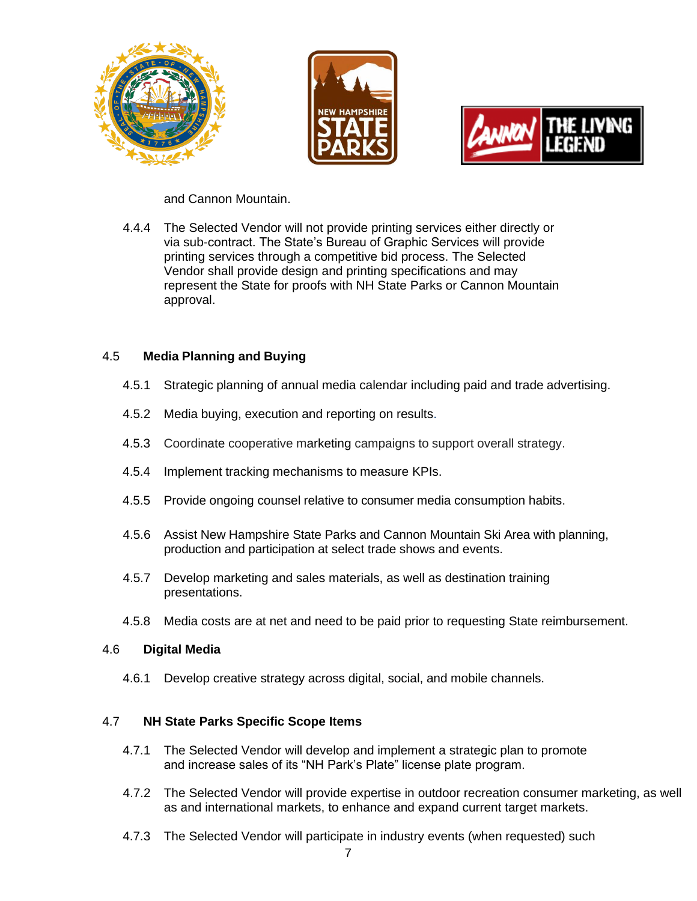





and Cannon Mountain.

4.4.4 The Selected Vendor will not provide printing services either directly or via sub-contract. The State's Bureau of Graphic Services will provide printing services through a competitive bid process. The Selected Vendor shall provide design and printing specifications and may represent the State for proofs with NH State Parks or Cannon Mountain approval.

## 4.5 **Media Planning and Buying**

- 4.5.1 Strategic planning of annual media calendar including paid and trade advertising.
- 4.5.2 Media buying, execution and reporting on results.
- 4.5.3 Coordinate cooperative marketing campaigns to support overall strategy.
- 4.5.4 Implement tracking mechanisms to measure KPIs.
- 4.5.5 Provide ongoing counsel relative to consumer media consumption habits.
- 4.5.6 Assist New Hampshire State Parks and Cannon Mountain Ski Area with planning, production and participation at select trade shows and events.
- 4.5.7 Develop marketing and sales materials, as well as destination training presentations.
- 4.5.8 Media costs are at net and need to be paid prior to requesting State reimbursement.

#### 4.6 **Digital Media**

4.6.1 Develop creative strategy across digital, social, and mobile channels.

## 4.7 **NH State Parks Specific Scope Items**

- 4.7.1 The Selected Vendor will develop and implement a strategic plan to promote and increase sales of its "NH Park's Plate" license plate program.
- 4.7.2 The Selected Vendor will provide expertise in outdoor recreation consumer marketing, as well as and international markets, to enhance and expand current target markets.
- 4.7.3 The Selected Vendor will participate in industry events (when requested) such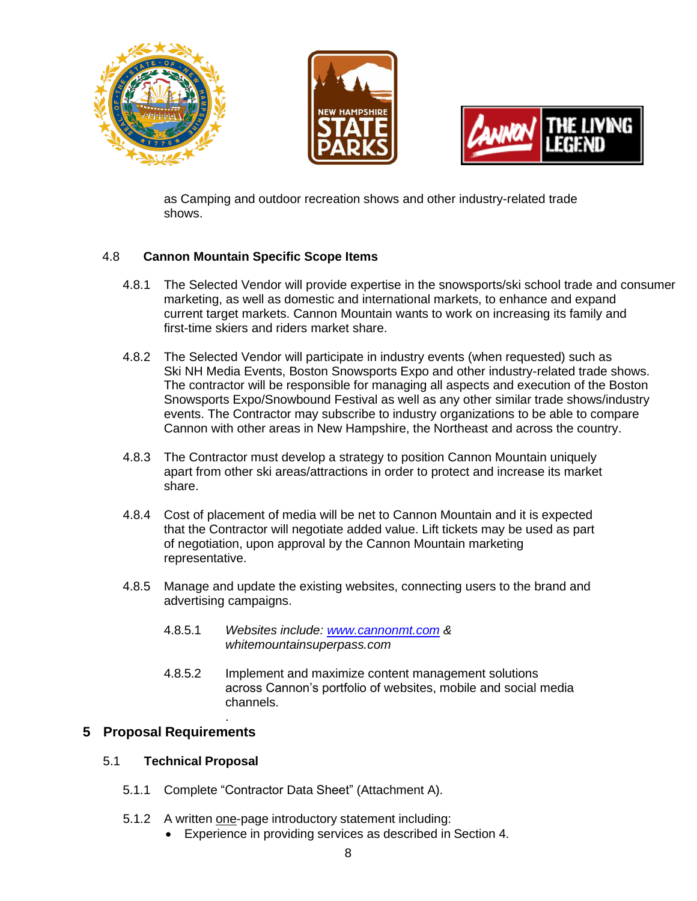





as Camping and outdoor recreation shows and other industry-related trade shows.

# 4.8 **Cannon Mountain Specific Scope Items**

- 4.8.1 The Selected Vendor will provide expertise in the snowsports/ski school trade and consumer marketing, as well as domestic and international markets, to enhance and expand current target markets. Cannon Mountain wants to work on increasing its family and first-time skiers and riders market share.
- 4.8.2 The Selected Vendor will participate in industry events (when requested) such as Ski NH Media Events, Boston Snowsports Expo and other industry-related trade shows. The contractor will be responsible for managing all aspects and execution of the Boston Snowsports Expo/Snowbound Festival as well as any other similar trade shows/industry events. The Contractor may subscribe to industry organizations to be able to compare Cannon with other areas in New Hampshire, the Northeast and across the country.
- 4.8.3 The Contractor must develop a strategy to position Cannon Mountain uniquely apart from other ski areas/attractions in order to protect and increase its market share.
- 4.8.4 Cost of placement of media will be net to Cannon Mountain and it is expected that the Contractor will negotiate added value. Lift tickets may be used as part of negotiation, upon approval by the Cannon Mountain marketing representative.
- 4.8.5 Manage and update the existing websites, connecting users to the brand and advertising campaigns.
	- 4.8.5.1 *Websites include: [www.cannonmt.com](http://www.cannonmt.com/) & whitemountainsuperpass.com*
	- 4.8.5.2 Implement and maximize content management solutions across Cannon's portfolio of websites, mobile and social media channels.

# **5 Proposal Requirements**

## 5.1 **Technical Proposal**

.

- 5.1.1 Complete "Contractor Data Sheet" (Attachment A).
- 5.1.2 A written one-page introductory statement including:
	- Experience in providing services as described in Section 4.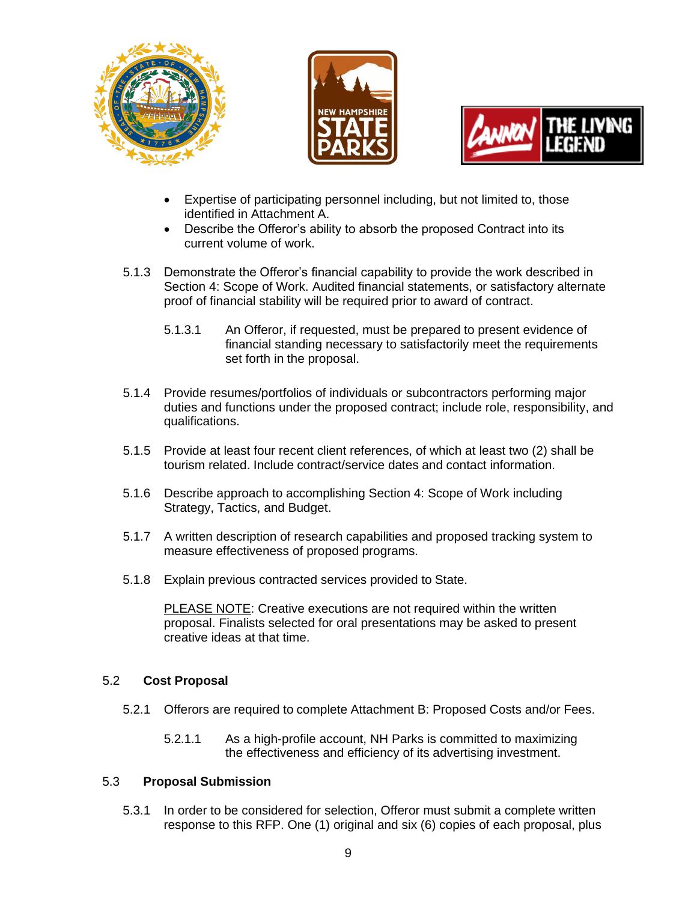





- Expertise of participating personnel including, but not limited to, those identified in Attachment A.
- Describe the Offeror's ability to absorb the proposed Contract into its current volume of work.
- 5.1.3 Demonstrate the Offeror's financial capability to provide the work described in Section 4: Scope of Work. Audited financial statements, or satisfactory alternate proof of financial stability will be required prior to award of contract.
	- 5.1.3.1 An Offeror, if requested, must be prepared to present evidence of financial standing necessary to satisfactorily meet the requirements set forth in the proposal.
- 5.1.4 Provide resumes/portfolios of individuals or subcontractors performing major duties and functions under the proposed contract; include role, responsibility, and qualifications.
- 5.1.5 Provide at least four recent client references, of which at least two (2) shall be tourism related. Include contract/service dates and contact information.
- 5.1.6 Describe approach to accomplishing Section 4: Scope of Work including Strategy, Tactics, and Budget.
- 5.1.7 A written description of research capabilities and proposed tracking system to measure effectiveness of proposed programs.
- 5.1.8 Explain previous contracted services provided to State.

PLEASE NOTE: Creative executions are not required within the written proposal. Finalists selected for oral presentations may be asked to present creative ideas at that time.

## 5.2 **Cost Proposal**

- 5.2.1 Offerors are required to complete Attachment B: Proposed Costs and/or Fees.
	- 5.2.1.1 As a high-profile account, NH Parks is committed to maximizing the effectiveness and efficiency of its advertising investment.

#### 5.3 **Proposal Submission**

5.3.1 In order to be considered for selection, Offeror must submit a complete written response to this RFP. One (1) original and six (6) copies of each proposal, plus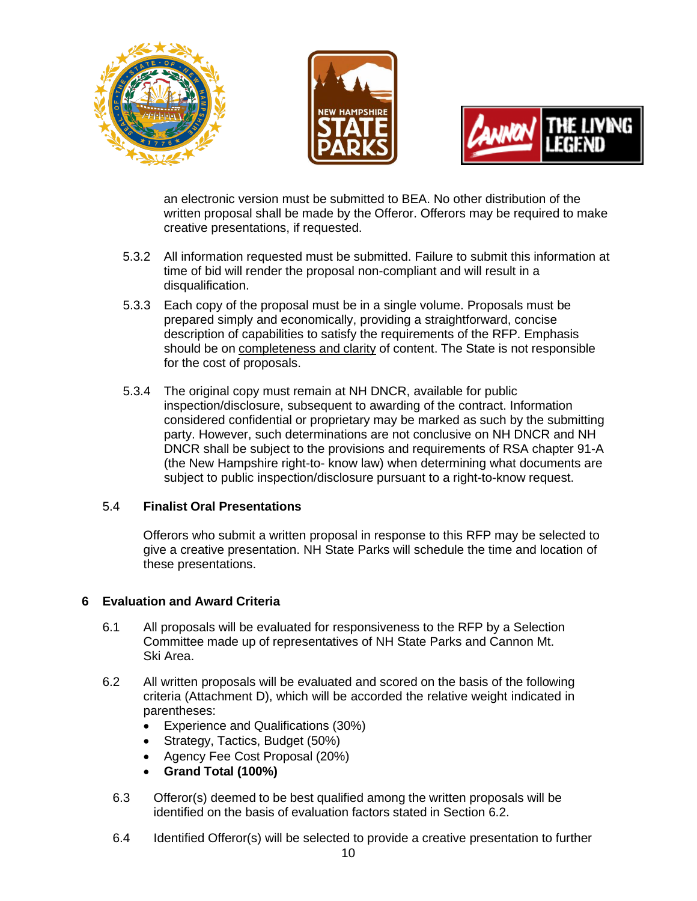





an electronic version must be submitted to BEA. No other distribution of the written proposal shall be made by the Offeror. Offerors may be required to make creative presentations, if requested.

- 5.3.2 All information requested must be submitted. Failure to submit this information at time of bid will render the proposal non-compliant and will result in a disqualification.
- 5.3.3 Each copy of the proposal must be in a single volume. Proposals must be prepared simply and economically, providing a straightforward, concise description of capabilities to satisfy the requirements of the RFP. Emphasis should be on completeness and clarity of content. The State is not responsible for the cost of proposals.
- 5.3.4 The original copy must remain at NH DNCR, available for public inspection/disclosure, subsequent to awarding of the contract. Information considered confidential or proprietary may be marked as such by the submitting party. However, such determinations are not conclusive on NH DNCR and NH DNCR shall be subject to the provisions and requirements of RSA chapter 91-A (the New Hampshire right-to- know law) when determining what documents are subject to public inspection/disclosure pursuant to a right-to-know request.

## 5.4 **Finalist Oral Presentations**

Offerors who submit a written proposal in response to this RFP may be selected to give a creative presentation. NH State Parks will schedule the time and location of these presentations.

## **6 Evaluation and Award Criteria**

- 6.1 All proposals will be evaluated for responsiveness to the RFP by a Selection Committee made up of representatives of NH State Parks and Cannon Mt. Ski Area.
- 6.2 All written proposals will be evaluated and scored on the basis of the following criteria (Attachment D), which will be accorded the relative weight indicated in parentheses:
	- Experience and Qualifications (30%)
	- Strategy, Tactics, Budget (50%)
	- Agency Fee Cost Proposal (20%)
	- **Grand Total (100%)**
	- 6.3 Offeror(s) deemed to be best qualified among the written proposals will be identified on the basis of evaluation factors stated in Section 6.2.
	- 6.4 Identified Offeror(s) will be selected to provide a creative presentation to further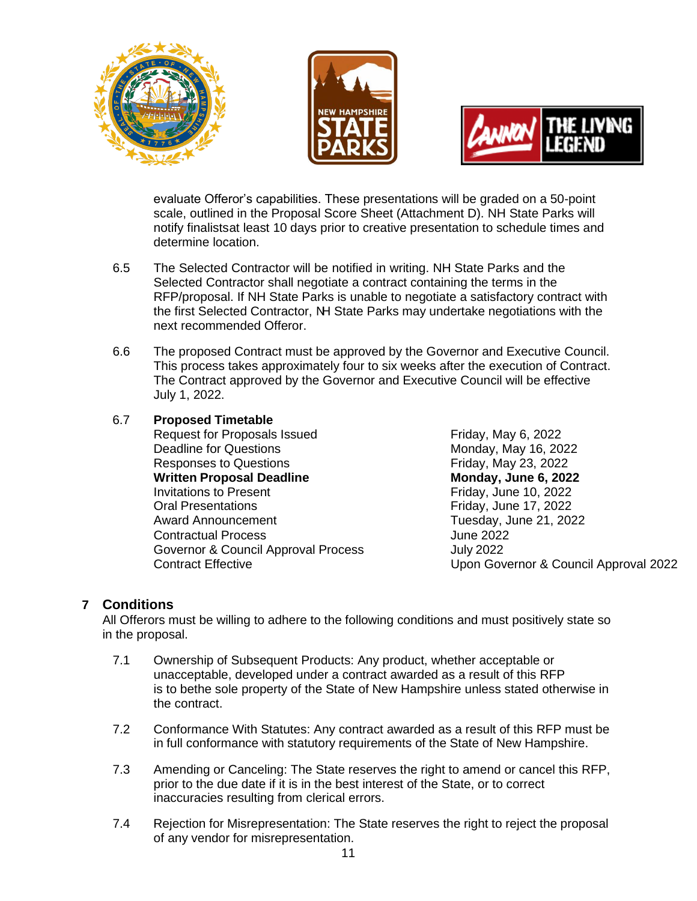





evaluate Offeror's capabilities. These presentations will be graded on a 50-point scale, outlined in the Proposal Score Sheet (Attachment D). NH State Parks will notify finalistsat least 10 days prior to creative presentation to schedule times and determine location.

- 6.5 The Selected Contractor will be notified in writing. NH State Parks and the Selected Contractor shall negotiate a contract containing the terms in the RFP/proposal. If NH State Parks is unable to negotiate a satisfactory contract with the first Selected Contractor, NH State Parks may undertake negotiations with the next recommended Offeror.
- 6.6 The proposed Contract must be approved by the Governor and Executive Council. This process takes approximately four to six weeks after the execution of Contract. The Contract approved by the Governor and Executive Council will be effective July 1, 2022.

## 6.7 **Proposed Timetable**

Request for Proposals Issued Friday, May 6, 2022 Deadline for Questions Monday, May 16, 2022 Responses to Questions Friday, May 23, 2022 **Written Proposal Deadline Monday, June 6, 2022** Invitations to Present **Friday**, June 10, 2022 Oral Presentations **Friday**, June 17, 2022 Award Announcement Tuesday, June 21, 2022 Contractual Process June 2022 Governor & Council Approval Process<br>Contract Effective Contract Contract Contract Contract Contract Contract Contract Contract Contract Contract C

Upon Governor & Council Approval 2022

# **7 Conditions**

All Offerors must be willing to adhere to the following conditions and must positively state so in the proposal.

- 7.1 Ownership of Subsequent Products: Any product, whether acceptable or unacceptable, developed under a contract awarded as a result of this RFP is to bethe sole property of the State of New Hampshire unless stated otherwise in the contract.
- 7.2 Conformance With Statutes: Any contract awarded as a result of this RFP must be in full conformance with statutory requirements of the State of New Hampshire.
- 7.3 Amending or Canceling: The State reserves the right to amend or cancel this RFP, prior to the due date if it is in the best interest of the State, or to correct inaccuracies resulting from clerical errors.
- 7.4 Rejection for Misrepresentation: The State reserves the right to reject the proposal of any vendor for misrepresentation.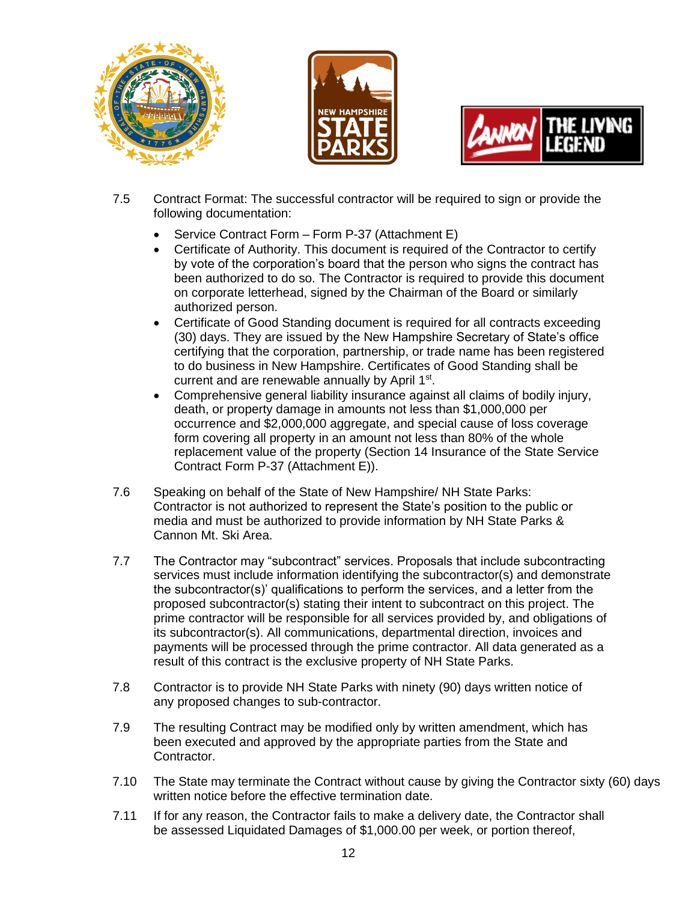





- 7.5 Contract Format: The successful contractor will be required to sign or provide the following documentation:
	- Service Contract Form Form P-37 (Attachment E)
	- Certificate of Authority. This document is required of the Contractor to certify by vote of the corporation's board that the person who signs the contract has been authorized to do so. The Contractor is required to provide this document on corporate letterhead, signed by the Chairman of the Board or similarly authorized person.
	- Certificate of Good Standing document is required for all contracts exceeding (30) days. They are issued by the New Hampshire Secretary of State's office certifying that the corporation, partnership, or trade name has been registered to do business in New Hampshire. Certificates of Good Standing shall be current and are renewable annually by April 1<sup>st</sup>.
	- Comprehensive general liability insurance against all claims of bodily injury, death, or property damage in amounts not less than \$1,000,000 per occurrence and \$2,000,000 aggregate, and special cause of loss coverage form covering all property in an amount not less than 80% of the whole replacement value of the property (Section 14 Insurance of the State Service Contract Form P-37 (Attachment E)).
- 7.6 Speaking on behalf of the State of New Hampshire/ NH State Parks: Contractor is not authorized to represent the State's position to the public or media and must be authorized to provide information by NH State Parks & Cannon Mt. Ski Area.
- 7.7 The Contractor may "subcontract" services. Proposals that include subcontracting services must include information identifying the subcontractor(s) and demonstrate the subcontractor(s)' qualifications to perform the services, and a letter from the proposed subcontractor(s) stating their intent to subcontract on this project. The prime contractor will be responsible for all services provided by, and obligations of its subcontractor(s). All communications, departmental direction, invoices and payments will be processed through the prime contractor. All data generated as a result of this contract is the exclusive property of NH State Parks.
- 7.8 Contractor is to provide NH State Parks with ninety (90) days written notice of any proposed changes to sub-contractor.
- 7.9 The resulting Contract may be modified only by written amendment, which has been executed and approved by the appropriate parties from the State and Contractor.
- 7.10 The State may terminate the Contract without cause by giving the Contractor sixty (60) days written notice before the effective termination date.
- 7.11 If for any reason, the Contractor fails to make a delivery date, the Contractor shall be assessed Liquidated Damages of \$1,000.00 per week, or portion thereof,